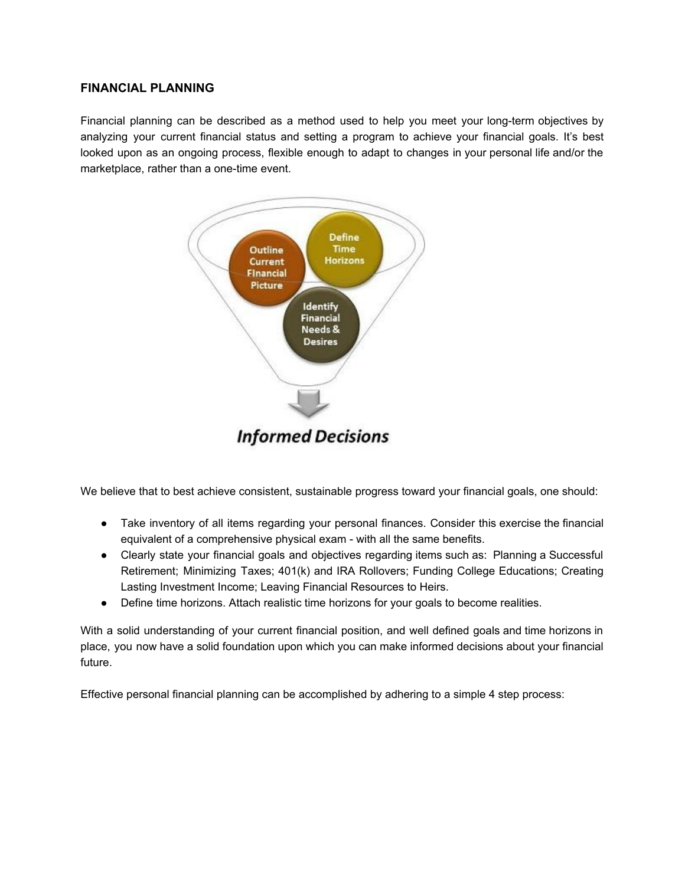## **FINANCIAL PLANNING**

Financial planning can be described as a method used to help you meet your long-term objectives by analyzing your current financial status and setting a program to achieve your financial goals. It's best looked upon as an ongoing process, flexible enough to adapt to changes in your personal life and/or the marketplace, rather than a one-time event.



We believe that to best achieve consistent, sustainable progress toward your financial goals, one should:

- Take inventory of all items regarding your personal finances. Consider this exercise the financial equivalent of a comprehensive physical exam - with all the same benefits.
- Clearly state your financial goals and objectives regarding items such as: Planning a Successful Retirement; Minimizing Taxes; 401(k) and IRA Rollovers; Funding College Educations; Creating Lasting Investment Income; Leaving Financial Resources to Heirs.
- Define time horizons. Attach realistic time horizons for your goals to become realities.

With a solid understanding of your current financial position, and well defined goals and time horizons in place, you now have a solid foundation upon which you can make informed decisions about your financial future.

Effective personal financial planning can be accomplished by adhering to a simple 4 step process: